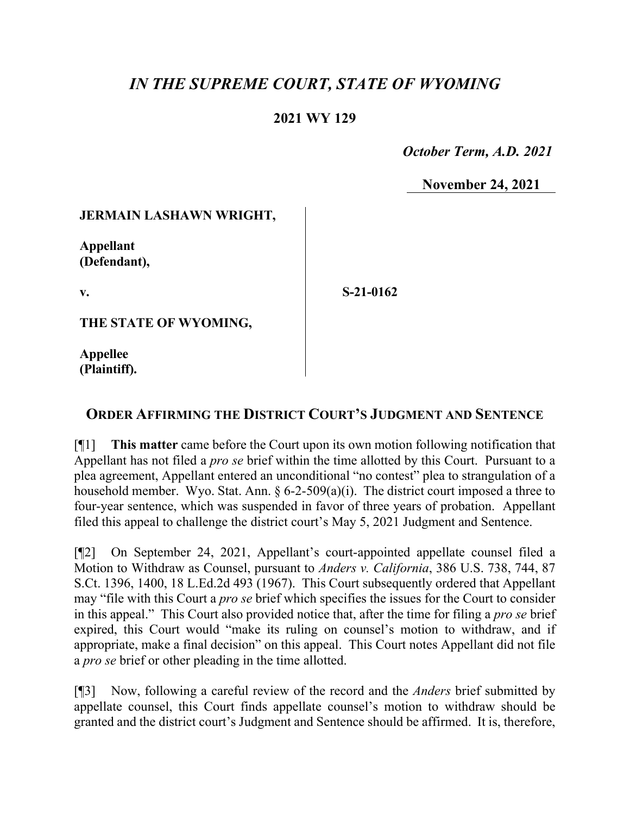# *IN THE SUPREME COURT, STATE OF WYOMING*

### **2021 WY 129**

 *October Term, A.D. 2021*

**November 24, 2021**

#### **JERMAIN LASHAWN WRIGHT,**

**Appellant (Defendant),**

**v.**

**S-21-0162**

**THE STATE OF WYOMING,**

**Appellee (Plaintiff).**

## **ORDER AFFIRMING THE DISTRICT COURT'S JUDGMENT AND SENTENCE**

[¶1] **This matter** came before the Court upon its own motion following notification that Appellant has not filed a *pro se* brief within the time allotted by this Court. Pursuant to a plea agreement, Appellant entered an unconditional "no contest" plea to strangulation of a household member. Wyo. Stat. Ann.  $\S 6$ -2-509(a)(i). The district court imposed a three to four-year sentence, which was suspended in favor of three years of probation. Appellant filed this appeal to challenge the district court's May 5, 2021 Judgment and Sentence.

[¶2] On September 24, 2021, Appellant's court-appointed appellate counsel filed a Motion to Withdraw as Counsel, pursuant to *Anders v. California*, 386 U.S. 738, 744, 87 S.Ct. 1396, 1400, 18 L.Ed.2d 493 (1967). This Court subsequently ordered that Appellant may "file with this Court a *pro se* brief which specifies the issues for the Court to consider in this appeal." This Court also provided notice that, after the time for filing a *pro se* brief expired, this Court would "make its ruling on counsel's motion to withdraw, and if appropriate, make a final decision" on this appeal. This Court notes Appellant did not file a *pro se* brief or other pleading in the time allotted.

[¶3] Now, following a careful review of the record and the *Anders* brief submitted by appellate counsel, this Court finds appellate counsel's motion to withdraw should be granted and the district court's Judgment and Sentence should be affirmed. It is, therefore,